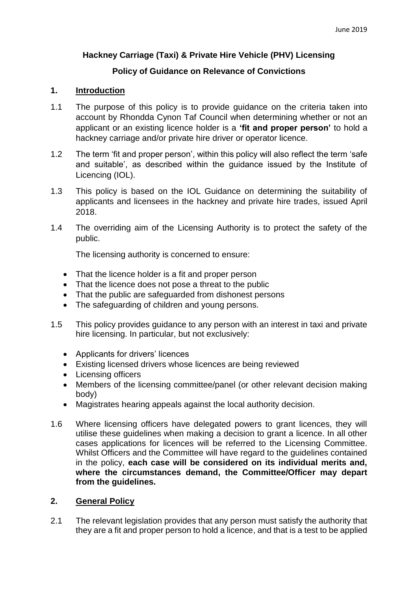# **Hackney Carriage (Taxi) & Private Hire Vehicle (PHV) Licensing**

# **Policy of Guidance on Relevance of Convictions**

# **1. Introduction**

- 1.1 The purpose of this policy is to provide guidance on the criteria taken into account by Rhondda Cynon Taf Council when determining whether or not an applicant or an existing licence holder is a **'fit and proper person'** to hold a hackney carriage and/or private hire driver or operator licence.
- 1.2 The term 'fit and proper person', within this policy will also reflect the term 'safe and suitable', as described within the guidance issued by the Institute of Licencing (IOL).
- 1.3 This policy is based on the IOL Guidance on determining the suitability of applicants and licensees in the hackney and private hire trades, issued April 2018.
- 1.4 The overriding aim of the Licensing Authority is to protect the safety of the public.

The licensing authority is concerned to ensure:

- That the licence holder is a fit and proper person
- That the licence does not pose a threat to the public
- That the public are safeguarded from dishonest persons
- The safeguarding of children and voung persons.
- 1.5 This policy provides guidance to any person with an interest in taxi and private hire licensing. In particular, but not exclusively:
	- Applicants for drivers' licences
	- Existing licensed drivers whose licences are being reviewed
	- Licensing officers
	- Members of the licensing committee/panel (or other relevant decision making body)
	- Magistrates hearing appeals against the local authority decision.
- 1.6 Where licensing officers have delegated powers to grant licences, they will utilise these guidelines when making a decision to grant a licence. In all other cases applications for licences will be referred to the Licensing Committee. Whilst Officers and the Committee will have regard to the guidelines contained in the policy, **each case will be considered on its individual merits and, where the circumstances demand, the Committee/Officer may depart from the guidelines.**

# **2. General Policy**

2.1 The relevant legislation provides that any person must satisfy the authority that they are a fit and proper person to hold a licence, and that is a test to be applied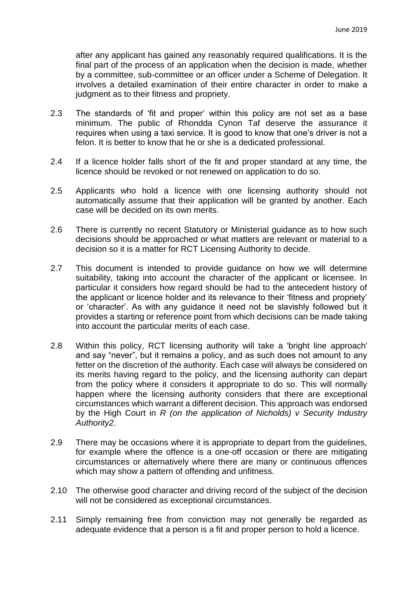after any applicant has gained any reasonably required qualifications. It is the final part of the process of an application when the decision is made, whether by a committee, sub‐committee or an officer under a Scheme of Delegation. It involves a detailed examination of their entire character in order to make a judgment as to their fitness and propriety.

- 2.3 The standards of 'fit and proper' within this policy are not set as a base minimum. The public of Rhondda Cynon Taf deserve the assurance it requires when using a taxi service. It is good to know that one's driver is not a felon. It is better to know that he or she is a dedicated professional.
- 2.4 If a licence holder falls short of the fit and proper standard at any time, the licence should be revoked or not renewed on application to do so.
- 2.5 Applicants who hold a licence with one licensing authority should not automatically assume that their application will be granted by another. Each case will be decided on its own merits.
- 2.6 There is currently no recent Statutory or Ministerial guidance as to how such decisions should be approached or what matters are relevant or material to a decision so it is a matter for RCT Licensing Authority to decide.
- 2.7 This document is intended to provide guidance on how we will determine suitability, taking into account the character of the applicant or licensee. In particular it considers how regard should be had to the antecedent history of the applicant or licence holder and its relevance to their 'fitness and propriety' or 'character'. As with any guidance it need not be slavishly followed but it provides a starting or reference point from which decisions can be made taking into account the particular merits of each case.
- 2.8 Within this policy, RCT licensing authority will take a 'bright line approach' and say "never", but it remains a policy, and as such does not amount to any fetter on the discretion of the authority. Each case will always be considered on its merits having regard to the policy, and the licensing authority can depart from the policy where it considers it appropriate to do so. This will normally happen where the licensing authority considers that there are exceptional circumstances which warrant a different decision. This approach was endorsed by the High Court in *R (on the application of Nicholds) v Security Industry Authority2*.
- 2.9 There may be occasions where it is appropriate to depart from the guidelines, for example where the offence is a one-off occasion or there are mitigating circumstances or alternatively where there are many or continuous offences which may show a pattern of offending and unfitness.
- 2.10 The otherwise good character and driving record of the subject of the decision will not be considered as exceptional circumstances.
- 2.11 Simply remaining free from conviction may not generally be regarded as adequate evidence that a person is a fit and proper person to hold a licence.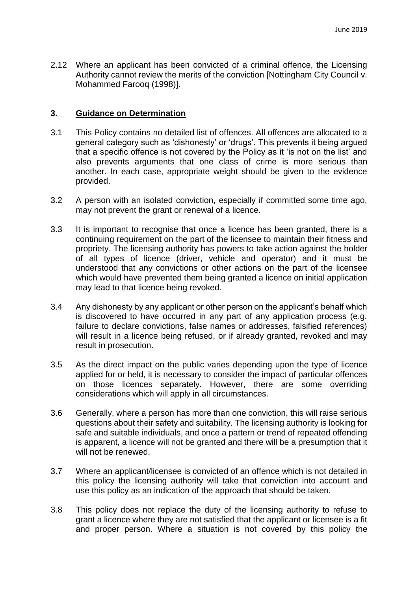2.12 Where an applicant has been convicted of a criminal offence, the Licensing Authority cannot review the merits of the conviction [Nottingham City Council v. Mohammed Farooq (1998)].

# **3. Guidance on Determination**

- 3.1 This Policy contains no detailed list of offences. All offences are allocated to a general category such as 'dishonesty' or 'drugs'. This prevents it being argued that a specific offence is not covered by the Policy as it 'is not on the list' and also prevents arguments that one class of crime is more serious than another. In each case, appropriate weight should be given to the evidence provided.
- 3.2 A person with an isolated conviction, especially if committed some time ago, may not prevent the grant or renewal of a licence.
- 3.3 It is important to recognise that once a licence has been granted, there is a continuing requirement on the part of the licensee to maintain their fitness and propriety. The licensing authority has powers to take action against the holder of all types of licence (driver, vehicle and operator) and it must be understood that any convictions or other actions on the part of the licensee which would have prevented them being granted a licence on initial application may lead to that licence being revoked.
- 3.4 Any dishonesty by any applicant or other person on the applicant's behalf which is discovered to have occurred in any part of any application process (e.g. failure to declare convictions, false names or addresses, falsified references) will result in a licence being refused, or if already granted, revoked and may result in prosecution.
- 3.5 As the direct impact on the public varies depending upon the type of licence applied for or held, it is necessary to consider the impact of particular offences on those licences separately. However, there are some overriding considerations which will apply in all circumstances.
- 3.6 Generally, where a person has more than one conviction, this will raise serious questions about their safety and suitability. The licensing authority is looking for safe and suitable individuals, and once a pattern or trend of repeated offending is apparent, a licence will not be granted and there will be a presumption that it will not be renewed.
- 3.7 Where an applicant/licensee is convicted of an offence which is not detailed in this policy the licensing authority will take that conviction into account and use this policy as an indication of the approach that should be taken.
- 3.8 This policy does not replace the duty of the licensing authority to refuse to grant a licence where they are not satisfied that the applicant or licensee is a fit and proper person. Where a situation is not covered by this policy the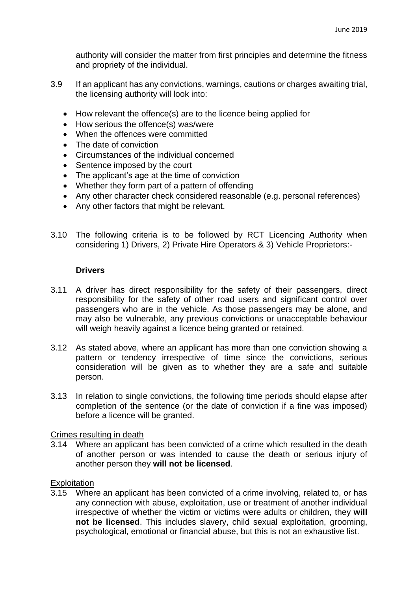authority will consider the matter from first principles and determine the fitness and propriety of the individual.

- 3.9 If an applicant has any convictions, warnings, cautions or charges awaiting trial, the licensing authority will look into:
	- How relevant the offence(s) are to the licence being applied for
	- How serious the offence(s) was/were
	- When the offences were committed
	- The date of conviction
	- Circumstances of the individual concerned
	- Sentence imposed by the court
	- The applicant's age at the time of conviction
	- Whether they form part of a pattern of offending
	- Any other character check considered reasonable (e.g. personal references)
	- Any other factors that might be relevant.
- 3.10 The following criteria is to be followed by RCT Licencing Authority when considering 1) Drivers, 2) Private Hire Operators & 3) Vehicle Proprietors:-

# **Drivers**

- 3.11 A driver has direct responsibility for the safety of their passengers, direct responsibility for the safety of other road users and significant control over passengers who are in the vehicle. As those passengers may be alone, and may also be vulnerable, any previous convictions or unacceptable behaviour will weigh heavily against a licence being granted or retained.
- 3.12 As stated above, where an applicant has more than one conviction showing a pattern or tendency irrespective of time since the convictions, serious consideration will be given as to whether they are a safe and suitable person.
- 3.13 In relation to single convictions, the following time periods should elapse after completion of the sentence (or the date of conviction if a fine was imposed) before a licence will be granted.

# Crimes resulting in death

3.14 Where an applicant has been convicted of a crime which resulted in the death of another person or was intended to cause the death or serious injury of another person they **will not be licensed**.

# **Exploitation**

3.15 Where an applicant has been convicted of a crime involving, related to, or has any connection with abuse, exploitation, use or treatment of another individual irrespective of whether the victim or victims were adults or children, they **will not be licensed**. This includes slavery, child sexual exploitation, grooming, psychological, emotional or financial abuse, but this is not an exhaustive list.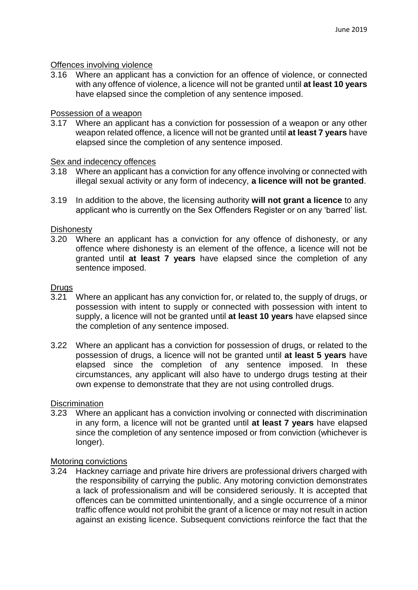### Offences involving violence

3.16 Where an applicant has a conviction for an offence of violence, or connected with any offence of violence, a licence will not be granted until **at least 10 years**  have elapsed since the completion of any sentence imposed.

#### Possession of a weapon

3.17 Where an applicant has a conviction for possession of a weapon or any other weapon related offence, a licence will not be granted until **at least 7 years** have elapsed since the completion of any sentence imposed.

# Sex and indecency offences

- 3.18 Where an applicant has a conviction for any offence involving or connected with illegal sexual activity or any form of indecency, **a licence will not be granted**.
- 3.19 In addition to the above, the licensing authority **will not grant a licence** to any applicant who is currently on the Sex Offenders Register or on any 'barred' list.

#### **Dishonesty**

3.20 Where an applicant has a conviction for any offence of dishonesty, or any offence where dishonesty is an element of the offence, a licence will not be granted until **at least 7 years** have elapsed since the completion of any sentence imposed.

#### Drugs

- 3.21 Where an applicant has any conviction for, or related to, the supply of drugs, or possession with intent to supply or connected with possession with intent to supply, a licence will not be granted until **at least 10 years** have elapsed since the completion of any sentence imposed.
- 3.22 Where an applicant has a conviction for possession of drugs, or related to the possession of drugs, a licence will not be granted until **at least 5 years** have elapsed since the completion of any sentence imposed. In these circumstances, any applicant will also have to undergo drugs testing at their own expense to demonstrate that they are not using controlled drugs.

# **Discrimination**

3.23 Where an applicant has a conviction involving or connected with discrimination in any form, a licence will not be granted until **at least 7 years** have elapsed since the completion of any sentence imposed or from conviction (whichever is longer).

#### Motoring convictions

3.24 Hackney carriage and private hire drivers are professional drivers charged with the responsibility of carrying the public. Any motoring conviction demonstrates a lack of professionalism and will be considered seriously. It is accepted that offences can be committed unintentionally, and a single occurrence of a minor traffic offence would not prohibit the grant of a licence or may not result in action against an existing licence. Subsequent convictions reinforce the fact that the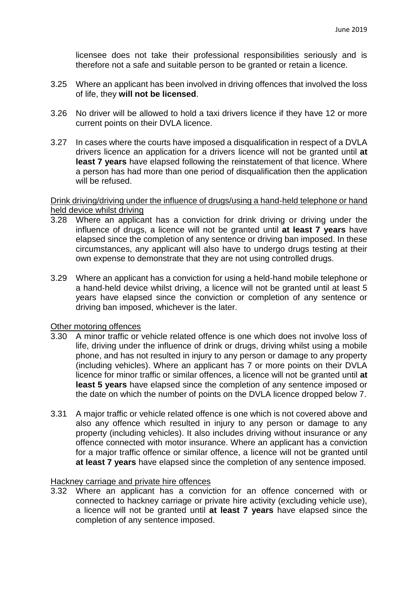licensee does not take their professional responsibilities seriously and is therefore not a safe and suitable person to be granted or retain a licence.

- 3.25 Where an applicant has been involved in driving offences that involved the loss of life, they **will not be licensed**.
- 3.26 No driver will be allowed to hold a taxi drivers licence if they have 12 or more current points on their DVLA licence.
- 3.27 In cases where the courts have imposed a disqualification in respect of a DVLA drivers licence an application for a drivers licence will not be granted until **at least 7 years** have elapsed following the reinstatement of that licence. Where a person has had more than one period of disqualification then the application will be refused.

### Drink driving/driving under the influence of drugs/using a hand‐held telephone or hand held device whilst driving

- 3.28 Where an applicant has a conviction for drink driving or driving under the influence of drugs, a licence will not be granted until **at least 7 years** have elapsed since the completion of any sentence or driving ban imposed. In these circumstances, any applicant will also have to undergo drugs testing at their own expense to demonstrate that they are not using controlled drugs.
- 3.29 Where an applicant has a conviction for using a held‐hand mobile telephone or a hand‐held device whilst driving, a licence will not be granted until at least 5 years have elapsed since the conviction or completion of any sentence or driving ban imposed, whichever is the later.

# Other motoring offences

- 3.30 A minor traffic or vehicle related offence is one which does not involve loss of life, driving under the influence of drink or drugs, driving whilst using a mobile phone, and has not resulted in injury to any person or damage to any property (including vehicles). Where an applicant has 7 or more points on their DVLA licence for minor traffic or similar offences, a licence will not be granted until **at least 5 years** have elapsed since the completion of any sentence imposed or the date on which the number of points on the DVLA licence dropped below 7.
- 3.31 A major traffic or vehicle related offence is one which is not covered above and also any offence which resulted in injury to any person or damage to any property (including vehicles). It also includes driving without insurance or any offence connected with motor insurance. Where an applicant has a conviction for a major traffic offence or similar offence, a licence will not be granted until **at least 7 years** have elapsed since the completion of any sentence imposed.

#### Hackney carriage and private hire offences

3.32 Where an applicant has a conviction for an offence concerned with or connected to hackney carriage or private hire activity (excluding vehicle use), a licence will not be granted until **at least 7 years** have elapsed since the completion of any sentence imposed.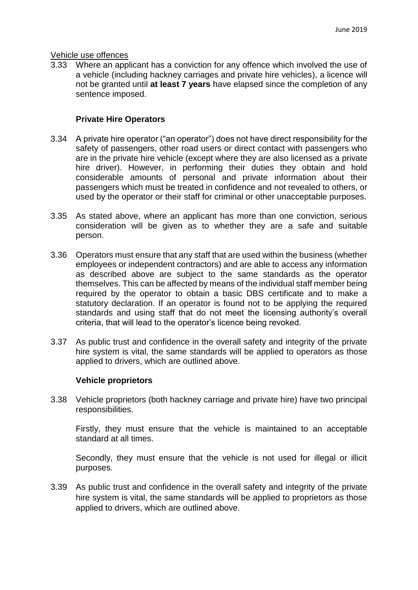### Vehicle use offences

3.33 Where an applicant has a conviction for any offence which involved the use of a vehicle (including hackney carriages and private hire vehicles), a licence will not be granted until **at least 7 years** have elapsed since the completion of any sentence imposed.

# **Private Hire Operators**

- 3.34 A private hire operator ("an operator") does not have direct responsibility for the safety of passengers, other road users or direct contact with passengers who are in the private hire vehicle (except where they are also licensed as a private hire driver). However, in performing their duties they obtain and hold considerable amounts of personal and private information about their passengers which must be treated in confidence and not revealed to others, or used by the operator or their staff for criminal or other unacceptable purposes.
- 3.35 As stated above, where an applicant has more than one conviction, serious consideration will be given as to whether they are a safe and suitable person.
- 3.36 Operators must ensure that any staff that are used within the business (whether employees or independent contractors) and are able to access any information as described above are subject to the same standards as the operator themselves. This can be affected by means of the individual staff member being required by the operator to obtain a basic DBS certificate and to make a statutory declaration. If an operator is found not to be applying the required standards and using staff that do not meet the licensing authority's overall criteria, that will lead to the operator's licence being revoked.
- 3.37 As public trust and confidence in the overall safety and integrity of the private hire system is vital, the same standards will be applied to operators as those applied to drivers, which are outlined above.

# **Vehicle proprietors**

3.38 Vehicle proprietors (both hackney carriage and private hire) have two principal responsibilities.

Firstly, they must ensure that the vehicle is maintained to an acceptable standard at all times.

Secondly, they must ensure that the vehicle is not used for illegal or illicit purposes.

3.39 As public trust and confidence in the overall safety and integrity of the private hire system is vital, the same standards will be applied to proprietors as those applied to drivers, which are outlined above.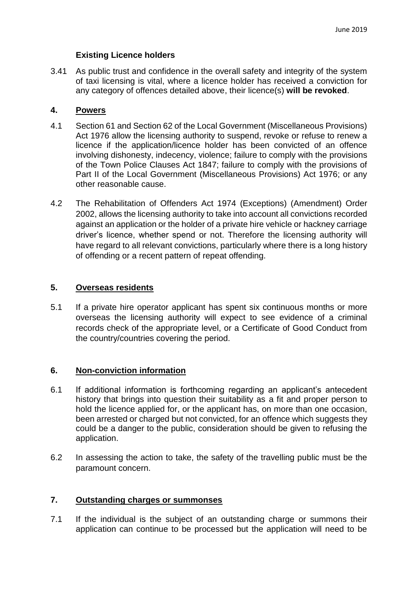# **Existing Licence holders**

3.41 As public trust and confidence in the overall safety and integrity of the system of taxi licensing is vital, where a licence holder has received a conviction for any category of offences detailed above, their licence(s) **will be revoked**.

# **4. Powers**

- 4.1 Section 61 and Section 62 of the Local Government (Miscellaneous Provisions) Act 1976 allow the licensing authority to suspend, revoke or refuse to renew a licence if the application/licence holder has been convicted of an offence involving dishonesty, indecency, violence; failure to comply with the provisions of the Town Police Clauses Act 1847; failure to comply with the provisions of Part II of the Local Government (Miscellaneous Provisions) Act 1976; or any other reasonable cause.
- 4.2 The Rehabilitation of Offenders Act 1974 (Exceptions) (Amendment) Order 2002, allows the licensing authority to take into account all convictions recorded against an application or the holder of a private hire vehicle or hackney carriage driver's licence, whether spend or not. Therefore the licensing authority will have regard to all relevant convictions, particularly where there is a long history of offending or a recent pattern of repeat offending.

# **5. Overseas residents**

5.1 If a private hire operator applicant has spent six continuous months or more overseas the licensing authority will expect to see evidence of a criminal records check of the appropriate level, or a Certificate of Good Conduct from the country/countries covering the period.

# **6. Non-conviction information**

- 6.1 If additional information is forthcoming regarding an applicant's antecedent history that brings into question their suitability as a fit and proper person to hold the licence applied for, or the applicant has, on more than one occasion, been arrested or charged but not convicted, for an offence which suggests they could be a danger to the public, consideration should be given to refusing the application.
- 6.2 In assessing the action to take, the safety of the travelling public must be the paramount concern.

# **7. Outstanding charges or summonses**

7.1 If the individual is the subject of an outstanding charge or summons their application can continue to be processed but the application will need to be